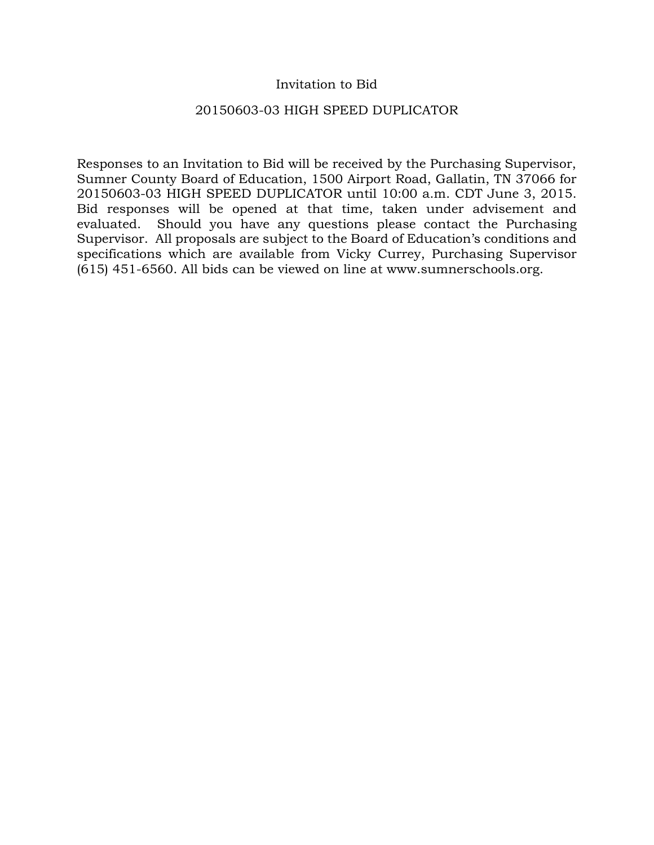### Invitation to Bid

### 20150603-03 HIGH SPEED DUPLICATOR

Responses to an Invitation to Bid will be received by the Purchasing Supervisor, Sumner County Board of Education, 1500 Airport Road, Gallatin, TN 37066 for 20150603-03 HIGH SPEED DUPLICATOR until 10:00 a.m. CDT June 3, 2015. Bid responses will be opened at that time, taken under advisement and evaluated. Should you have any questions please contact the Purchasing Supervisor. All proposals are subject to the Board of Education's conditions and specifications which are available from Vicky Currey, Purchasing Supervisor (615) 451-6560. All bids can be viewed on line at www.sumnerschools.org.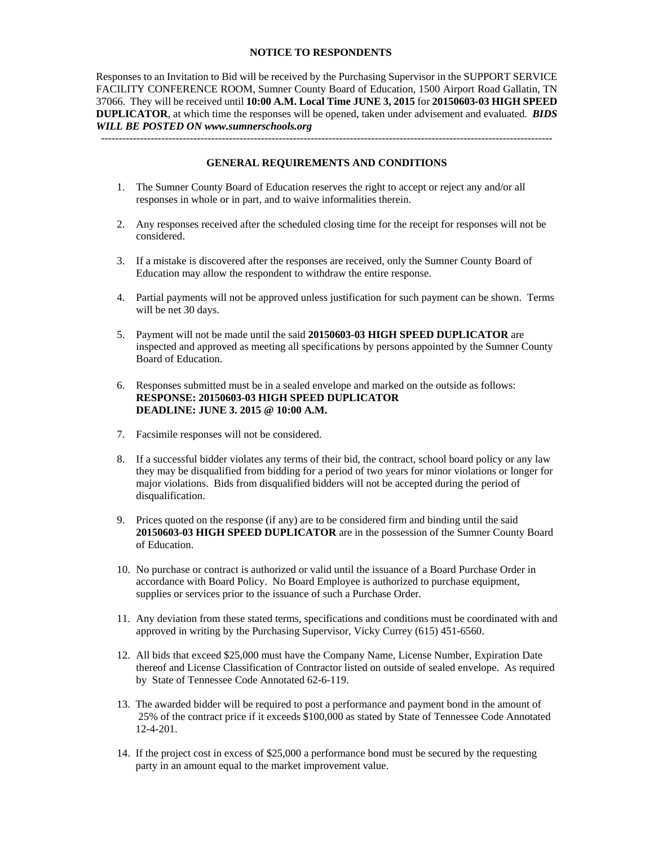#### **NOTICE TO RESPONDENTS**

Responses to an Invitation to Bid will be received by the Purchasing Supervisor in the SUPPORT SERVICE FACILITY CONFERENCE ROOM, Sumner County Board of Education, 1500 Airport Road Gallatin, TN 37066. They will be received until **10:00 A.M. Local Time JUNE 3, 2015** for **20150603-03 HIGH SPEED DUPLICATOR**, at which time the responses will be opened, taken under advisement and evaluated. *BIDS WILL BE POSTED ON www.sumnerschools.org* 

**GENERAL REQUIREMENTS AND CONDITIONS** 

-------------------------------------------------------------------------------------------------------------------------------

- 1. The Sumner County Board of Education reserves the right to accept or reject any and/or all responses in whole or in part, and to waive informalities therein.
- 2. Any responses received after the scheduled closing time for the receipt for responses will not be considered.
- 3. If a mistake is discovered after the responses are received, only the Sumner County Board of Education may allow the respondent to withdraw the entire response.
- 4. Partial payments will not be approved unless justification for such payment can be shown. Terms will be net 30 days.
- 5. Payment will not be made until the said **20150603-03 HIGH SPEED DUPLICATOR** are inspected and approved as meeting all specifications by persons appointed by the Sumner County Board of Education.
- 6. Responses submitted must be in a sealed envelope and marked on the outside as follows: **RESPONSE: 20150603-03 HIGH SPEED DUPLICATOR DEADLINE: JUNE 3. 2015 @ 10:00 A.M.**
- 7. Facsimile responses will not be considered.
- 8. If a successful bidder violates any terms of their bid, the contract, school board policy or any law they may be disqualified from bidding for a period of two years for minor violations or longer for major violations. Bids from disqualified bidders will not be accepted during the period of disqualification.
- 9. Prices quoted on the response (if any) are to be considered firm and binding until the said **20150603-03 HIGH SPEED DUPLICATOR** are in the possession of the Sumner County Board of Education.
- 10. No purchase or contract is authorized or valid until the issuance of a Board Purchase Order in accordance with Board Policy. No Board Employee is authorized to purchase equipment, supplies or services prior to the issuance of such a Purchase Order.
- 11. Any deviation from these stated terms, specifications and conditions must be coordinated with and approved in writing by the Purchasing Supervisor, Vicky Currey (615) 451-6560.
- 12. All bids that exceed \$25,000 must have the Company Name, License Number, Expiration Date thereof and License Classification of Contractor listed on outside of sealed envelope. As required by State of Tennessee Code Annotated 62-6-119.
- 13. The awarded bidder will be required to post a performance and payment bond in the amount of 25% of the contract price if it exceeds \$100,000 as stated by State of Tennessee Code Annotated 12-4-201.
- 14. If the project cost in excess of \$25,000 a performance bond must be secured by the requesting party in an amount equal to the market improvement value.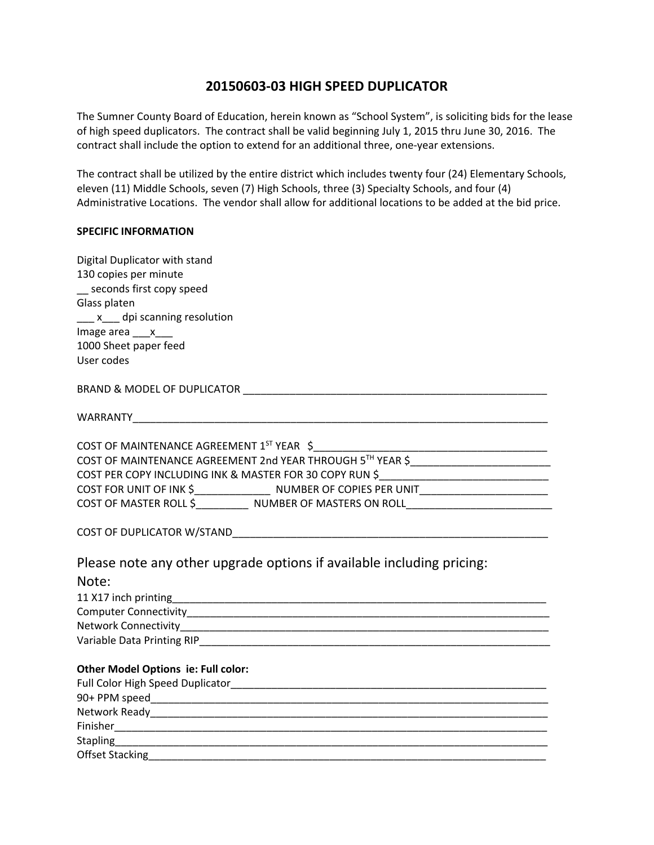# **20150603‐03 HIGH SPEED DUPLICATOR**

The Sumner County Board of Education, herein known as "School System", is soliciting bids for the lease of high speed duplicators. The contract shall be valid beginning July 1, 2015 thru June 30, 2016. The contract shall include the option to extend for an additional three, one‐year extensions.

The contract shall be utilized by the entire district which includes twenty four (24) Elementary Schools, eleven (11) Middle Schools, seven (7) High Schools, three (3) Specialty Schools, and four (4) Administrative Locations. The vendor shall allow for additional locations to be added at the bid price.

#### **SPECIFIC INFORMATION**

| Digital Duplicator with stand                                                                        |  |  |  |
|------------------------------------------------------------------------------------------------------|--|--|--|
| 130 copies per minute                                                                                |  |  |  |
| seconds first copy speed                                                                             |  |  |  |
| Glass platen                                                                                         |  |  |  |
| ___ x___ dpi scanning resolution                                                                     |  |  |  |
| Image area $\frac{x}{x}$                                                                             |  |  |  |
| 1000 Sheet paper feed                                                                                |  |  |  |
| User codes                                                                                           |  |  |  |
|                                                                                                      |  |  |  |
|                                                                                                      |  |  |  |
|                                                                                                      |  |  |  |
| COST OF MAINTENANCE AGREEMENT 1ST YEAR \$                                                            |  |  |  |
| COST OF MAINTENANCE AGREEMENT 2nd YEAR THROUGH 5TH YEAR \$_______________________                    |  |  |  |
| COST PER COPY INCLUDING INK & MASTER FOR 30 COPY RUN \$__________________________                    |  |  |  |
| COST FOR UNIT OF INK \$_________________________ NUMBER OF COPIES PER UNIT__________________________ |  |  |  |
| COST OF MASTER ROLL \$NUMBER OF MASTERS ON ROLL                                                      |  |  |  |
|                                                                                                      |  |  |  |
|                                                                                                      |  |  |  |
| Please note any other upgrade options if available including pricing:                                |  |  |  |
| Note:                                                                                                |  |  |  |
| 11 X17 inch printing                                                                                 |  |  |  |
|                                                                                                      |  |  |  |
|                                                                                                      |  |  |  |
|                                                                                                      |  |  |  |
|                                                                                                      |  |  |  |
| Other Model Options ie: Full color:                                                                  |  |  |  |
|                                                                                                      |  |  |  |
|                                                                                                      |  |  |  |
|                                                                                                      |  |  |  |
|                                                                                                      |  |  |  |
|                                                                                                      |  |  |  |
| <b>Offset Stacking</b>                                                                               |  |  |  |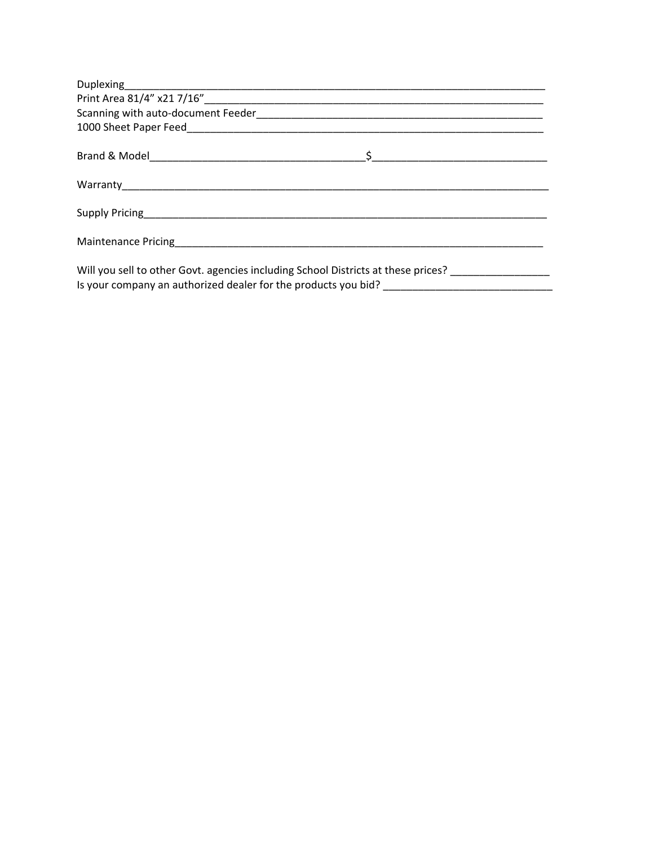| Will you sell to other Govt. agencies including School Districts at these prices? |  |  |  |
|-----------------------------------------------------------------------------------|--|--|--|

Is your company an authorized dealer for the products you bid?